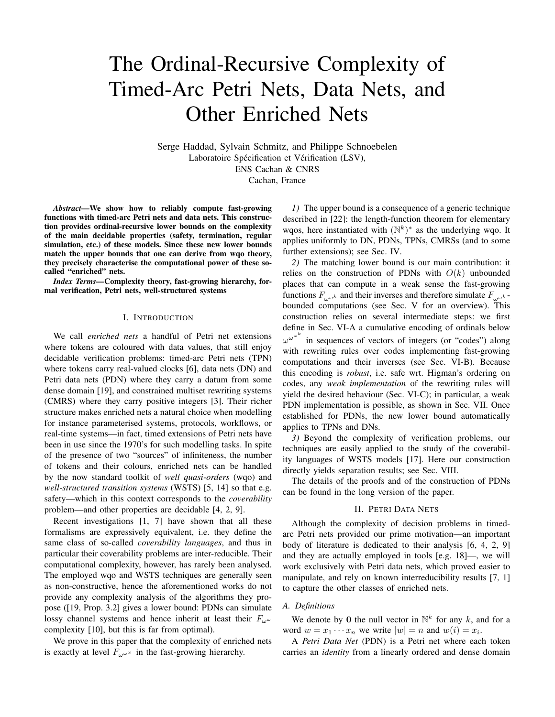# The Ordinal-Recursive Complexity of Timed-Arc Petri Nets, Data Nets, and Other Enriched Nets

Serge Haddad, Sylvain Schmitz, and Philippe Schnoebelen Laboratoire Spécification et Vérification (LSV), ENS Cachan & CNRS

Cachan, France

*Abstract*—We show how to reliably compute fast-growing functions with timed-arc Petri nets and data nets. This construction provides ordinal-recursive lower bounds on the complexity of the main decidable properties (safety, termination, regular simulation, etc.) of these models. Since these new lower bounds match the upper bounds that one can derive from wqo theory, they precisely characterise the computational power of these socalled "enriched" nets.

*Index Terms*—Complexity theory, fast-growing hierarchy, formal verification, Petri nets, well-structured systems

# I. INTRODUCTION

We call *enriched nets* a handful of Petri net extensions where tokens are coloured with data values, that still enjoy decidable verification problems: timed-arc Petri nets (TPN) where tokens carry real-valued clocks [6], data nets (DN) and Petri data nets (PDN) where they carry a datum from some dense domain [19], and constrained multiset rewriting systems (CMRS) where they carry positive integers [3]. Their richer structure makes enriched nets a natural choice when modelling for instance parameterised systems, protocols, workflows, or real-time systems—in fact, timed extensions of Petri nets have been in use since the 1970's for such modelling tasks. In spite of the presence of two "sources" of infiniteness, the number of tokens and their colours, enriched nets can be handled by the now standard toolkit of *well quasi-orders* (wqo) and *well-structured transition systems* (WSTS) [5, 14] so that e.g. safety—which in this context corresponds to the *coverability* problem—and other properties are decidable [4, 2, 9].

Recent investigations [1, 7] have shown that all these formalisms are expressively equivalent, i.e. they define the same class of so-called *coverability languages*, and thus in particular their coverability problems are inter-reducible. Their computational complexity, however, has rarely been analysed. The employed wqo and WSTS techniques are generally seen as non-constructive, hence the aforementioned works do not provide any complexity analysis of the algorithms they propose ([19, Prop. 3.2] gives a lower bound: PDNs can simulate lossy channel systems and hence inherit at least their  $F_{\mu\nu}$ complexity [10], but this is far from optimal).

We prove in this paper that the complexity of enriched nets is exactly at level  $F_{\omega}^{\omega}$  in the fast-growing hierarchy.

*1)* The upper bound is a consequence of a generic technique described in [22]: the length-function theorem for elementary wqos, here instantiated with  $(N^k)^*$  as the underlying wqo. It applies uniformly to DN, PDNs, TPNs, CMRSs (and to some further extensions); see Sec. IV.

*2)* The matching lower bound is our main contribution: it relies on the construction of PDNs with  $O(k)$  unbounded places that can compute in a weak sense the fast-growing functions  $F_{\mu\nu}$  and their inverses and therefore simulate  $F_{\mu\nu}$ . bounded computations (see Sec. V for an overview). This construction relies on several intermediate steps: we first define in Sec. VI-A a cumulative encoding of ordinals below  $\omega^{\omega^{k}}$  in sequences of vectors of integers (or "codes") along with rewriting rules over codes implementing fast-growing computations and their inverses (see Sec. VI-B). Because this encoding is *robust*, i.e. safe wrt. Higman's ordering on codes, any *weak implementation* of the rewriting rules will yield the desired behaviour (Sec. VI-C); in particular, a weak PDN implementation is possible, as shown in Sec. VII. Once established for PDNs, the new lower bound automatically applies to TPNs and DNs.

*3)* Beyond the complexity of verification problems, our techniques are easily applied to the study of the coverability languages of WSTS models [17]. Here our construction directly yields separation results; see Sec. VIII.

The details of the proofs and of the construction of PDNs can be found in the long version of the paper.

# II. PETRI DATA NETS

Although the complexity of decision problems in timedarc Petri nets provided our prime motivation—an important body of literature is dedicated to their analysis [6, 4, 2, 9] and they are actually employed in tools [e.g. 18]—, we will work exclusively with Petri data nets, which proved easier to manipulate, and rely on known interreducibility results [7, 1] to capture the other classes of enriched nets.

## *A. Definitions*

We denote by 0 the null vector in  $\mathbb{N}^k$  for any k, and for a word  $w = x_1 \cdots x_n$  we write  $|w| = n$  and  $w(i) = x_i$ .

A *Petri Data Net* (PDN) is a Petri net where each token carries an *identity* from a linearly ordered and dense domain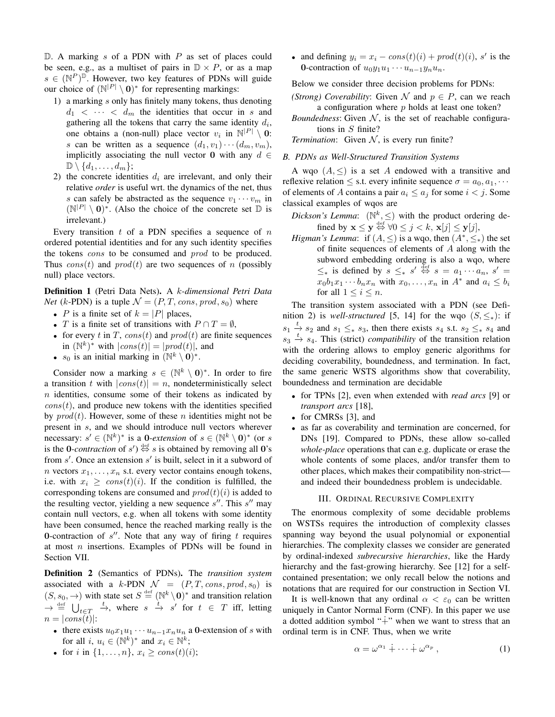$D$ . A marking s of a PDN with P as set of places could be seen, e.g., as a multiset of pairs in  $\mathbb{D} \times P$ , or as a map  $s \in (\mathbb{N}^P)^{\mathbb{D}}$ . However, two key features of PDNs will guide our choice of  $(N^{|P|} \setminus 0)^*$  for representing markings:

- 1) a marking s only has finitely many tokens, thus denoting  $d_1 < \cdots < d_m$  the identities that occur in s and gathering all the tokens that carry the same identity  $d_i$ , one obtains a (non-null) place vector  $v_i$  in  $\mathbb{N}^{|P|} \setminus \mathbf{0}$ : s can be written as a sequence  $(d_1, v_1) \cdots (d_m, v_m)$ , implicitly associating the null vector 0 with any  $d \in$  $\mathbb{D}\setminus\{d_1,\ldots,d_m\};$
- 2) the concrete identities  $d_i$  are irrelevant, and only their relative *order* is useful wrt. the dynamics of the net, thus s can safely be abstracted as the sequence  $v_1 \cdots v_m$  in  $(N^{|P|} \setminus 0)^*$ . (Also the choice of the concrete set  $\mathbb D$  is irrelevant.)

Every transition  $t$  of a PDN specifies a sequence of  $n$ ordered potential identities and for any such identity specifies the tokens *cons* to be consumed and *prod* to be produced. Thus  $cons(t)$  and  $prod(t)$  are two sequences of n (possibly null) place vectors.

Definition 1 (Petri Data Nets). A k*-dimensional Petri Data Net* (k-PDN) is a tuple  $\mathcal{N} = (P, T, cons, prod, s_0)$  where

- P is a finite set of  $k = |P|$  places,
- T is a finite set of transitions with  $P \cap T = \emptyset$ ,
- for every t in T, cons(t) and  $prod(t)$  are finite sequences in  $(N^k)^*$  with  $|cons(t)| = |prod(t)|$ , and
- $s_0$  is an initial marking in  $(\mathbb{N}^k \setminus \mathbf{0})^*$ .

Consider now a marking  $s \in (\mathbb{N}^k \setminus 0)^*$ . In order to fire a transition t with  $|cons(t)| = n$ , nondeterministically select  $n$  identities, consume some of their tokens as indicated by  $cons(t)$ , and produce new tokens with the identities specified by  $\text{prod}(t)$ . However, some of these *n* identities might not be present in s, and we should introduce null vectors wherever necessary:  $s' \in (\mathbb{N}^k)^*$  is a **0**-extension of  $s \in (\mathbb{N}^k \setminus \mathbf{0})^*$  (or s is the 0-*contraction* of  $s'$   $\stackrel{\text{def}}{\Leftrightarrow} s$  is obtained by removing all 0's from  $s'$ . Once an extension  $s'$  is built, select in it a subword of *n* vectors  $x_1, \ldots, x_n$  s.t. every vector contains enough tokens, i.e. with  $x_i \geq const(t)(i)$ . If the condition is fulfilled, the corresponding tokens are consumed and  $prod(t)(i)$  is added to the resulting vector, yielding a new sequence  $s''$ . This  $s''$  may contain null vectors, e.g. when all tokens with some identity have been consumed, hence the reached marking really is the **0**-contraction of  $s''$ . Note that any way of firing t requires at most  $n$  insertions. Examples of PDNs will be found in Section VII.

Definition 2 (Semantics of PDNs). The *transition system* associated with a k-PDN  $\mathcal{N} = (P, T, cons, prod, s_0)$  is  $(S, s_0, \rightarrow)$  with state set  $S \stackrel{\text{def}}{=} (\mathbb{N}^k \setminus \mathbf{0})^*$  and transition relation  $\rightarrow \frac{def}{=} \bigcup_{\substack{t \in T \\ t \neq 0}} \xrightarrow{t}$ , where  $s \xrightarrow{t} s'$  for  $t \in T$  iff, letting  $n = |cons(t)|$ :

- there exists  $u_0x_1u_1 \cdots u_{n-1}x_nu_n$  a 0-extension of s with for all  $i, u_i \in (\mathbb{N}^k)^*$  and  $x_i \in \mathbb{N}^k$ ;
- for i in  $\{1, ..., n\}$ ,  $x_i \geq const(t)(i)$ ;

• and defining  $y_i = x_i - const(t)(i) + prod(t)(i)$ , s' is the 0-contraction of  $u_0y_1u_1 \cdots u_{n-1}y_nu_n$ .

Below we consider three decision problems for PDNs:

- *(Strong) Coverability:* Given  $\mathcal N$  and  $p \in P$ , can we reach a configuration where  $p$  holds at least one token?
- *Boundedness*: Given  $N$ , is the set of reachable configurations in S finite?

*Termination*: Given  $N$ , is every run finite?

## *B. PDNs as Well-Structured Transition Systems*

A wqo  $(A, \leq)$  is a set A endowed with a transitive and reflexive relation  $\leq$  s.t. every infinite sequence  $\sigma = a_0, a_1, \cdots$ of elements of A contains a pair  $a_i \leq a_j$  for some  $i < j$ . Some classical examples of wqos are

- *Dickson's Lemma*:  $(\mathbb{N}^k, \leq)$  with the product ordering defined by  $\mathbf{x} \leq \mathbf{y} \stackrel{\text{def}}{\Leftrightarrow} \forall 0 \leq j < k, \mathbf{x}[j] \leq \mathbf{y}[j],$
- *Higman's Lemma*: if  $(A, \leq)$  is a wqo, then  $(A^*, \leq_*)$  the set of finite sequences of elements of  $A$  along with the subword embedding ordering is also a wqo, where  $\leq_*$  is defined by  $s \leq_* s' \stackrel{\text{def}}{\Leftrightarrow} s = a_1 \cdots a_n, s' =$  $x_0b_1x_1\cdots b_nx_n$  with  $x_0,\ldots,x_n$  in  $A^*$  and  $a_i\leq b_i$ for all  $1 \leq i \leq n$ .

The transition system associated with a PDN (see Definition 2) is *well-structured* [5, 14] for the wqo  $(S, \leq_*)$ : if  $s_1 \stackrel{t}{\rightarrow} s_2$  and  $s_1 \leq_* s_3$ , then there exists  $s_4$  s.t.  $s_2 \leq_* s_4$  and  $s_3 \stackrel{t}{\rightarrow} s_4$ . This (strict) *compatibility* of the transition relation with the ordering allows to employ generic algorithms for deciding coverability, boundedness, and termination. In fact, the same generic WSTS algorithms show that coverability, boundedness and termination are decidable

- for TPNs [2], even when extended with *read arcs* [9] or *transport arcs* [18],
- for CMRSs [3], and
- as far as coverability and termination are concerned, for DNs [19]. Compared to PDNs, these allow so-called *whole-place* operations that can e.g. duplicate or erase the whole contents of some places, and/or transfer them to other places, which makes their compatibility non-strict and indeed their boundedness problem is undecidable.

#### III. ORDINAL RECURSIVE COMPLEXITY

The enormous complexity of some decidable problems on WSTSs requires the introduction of complexity classes spanning way beyond the usual polynomial or exponential hierarchies. The complexity classes we consider are generated by ordinal-indexed *subrecursive hierarchies*, like the Hardy hierarchy and the fast-growing hierarchy. See [12] for a selfcontained presentation; we only recall below the notions and notations that are required for our construction in Section VI.

It is well-known that any ordinal  $\alpha < \varepsilon_0$  can be written uniquely in Cantor Normal Form (CNF). In this paper we use a dotted addition symbol " $+$ " when we want to stress that an ordinal term is in CNF. Thus, when we write

$$
\alpha = \omega^{\alpha_1} \dotplus \cdots \dotplus \omega^{\alpha_p} \,, \tag{1}
$$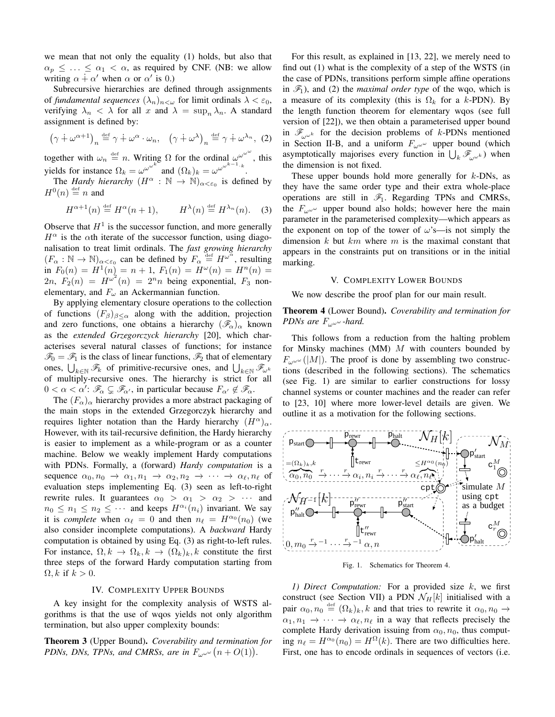we mean that not only the equality (1) holds, but also that  $\alpha_p \leq \ldots \leq \alpha_1 < \alpha$ , as required by CNF. (NB: we allow writing  $\alpha \dot{+} \alpha'$  when  $\alpha$  or  $\alpha'$  is 0.)

Subrecursive hierarchies are defined through assignments of *fundamental sequences*  $(\lambda_n)_{n<\omega}$  for limit ordinals  $\lambda < \varepsilon_0$ , verifying  $\lambda_n < \lambda$  for all x and  $\lambda = \sup_n \lambda_n$ . A standard assignment is defined by:

$$
(\gamma \dot{+} \omega^{\alpha+1})_n \stackrel{\text{def}}{=} \gamma \dot{+} \omega^{\alpha} \cdot \omega_n, \quad (\gamma \dot{+} \omega^{\lambda})_n \stackrel{\text{def}}{=} \gamma \dot{+} \omega^{\lambda_n}, \tag{2}
$$

together with  $\omega_n \stackrel{\text{def}}{=} n$ . Writing  $\Omega$  for the ordinal  $\omega^{\omega^{\omega^{\omega}}},$  this yields for instance  $\Omega_k = \omega^{\omega^{\omega^{\omega}}}$  and  $(\Omega_k)_k = \omega^{\omega}$ .

The *Hardy hierarchy*  $(H^{\alpha} : \mathbb{N} \to \mathbb{N})_{\alpha < \varepsilon_0}$  is defined by  $H^0(n) \stackrel{\text{def}}{=} n$  and

$$
H^{\alpha+1}(n) \stackrel{\text{def}}{=} H^{\alpha}(n+1), \qquad H^{\lambda}(n) \stackrel{\text{def}}{=} H^{\lambda_n}(n). \tag{3}
$$

Observe that  $H<sup>1</sup>$  is the successor function, and more generally  $H^{\alpha}$  is the  $\alpha$ th iterate of the successor function, using diagonalisation to treat limit ordinals. The *fast growing hierarchy*  $(F_\alpha : \mathbb{N} \to \mathbb{N})_{\alpha < \varepsilon_0}$  can be defined by  $F_\alpha \stackrel{\text{def}}{=} H^{\omega^\alpha}$ , resulting in  $F_0(n) = H^1(n) = n + 1$ ,  $F_1(n) = H^{\omega}(n) = H^n(n) =$  $2n, F_2(n) = H^{\omega^2}(n) = 2^n n$  being exponential,  $F_3$  nonelementary, and  $F_{\omega}$  an Ackermannian function.

By applying elementary closure operations to the collection of functions  $(F_\beta)_{\beta<\alpha}$  along with the addition, projection and zero functions, one obtains a hierarchy  $(\mathscr{F}_{\alpha})_{\alpha}$  known as the *extended Grzegorczyck hierarchy* [20], which characterises several natural classes of functions; for instance  $\mathcal{F}_0 = \mathcal{F}_1$  is the class of linear functions,  $\mathcal{F}_2$  that of elementary ones,  $\bigcup_{k \in \mathbb{N}} \mathcal{F}_k$  of primitive-recursive ones, and  $\bigcup_{k \in \mathbb{N}} \mathcal{F}_{\omega_k}$ of multiply-recursive ones. The hierarchy is strict for all  $0 < \alpha < \alpha'$ :  $\mathscr{F}_{\alpha} \subsetneq \mathscr{F}_{\alpha'}$ , in particular because  $F_{\alpha'} \notin \mathscr{F}_{\alpha}$ .

The  $(F_{\alpha})_{\alpha}$  hierarchy provides a more abstract packaging of the main stops in the extended Grzegorczyk hierarchy and requires lighter notation than the Hardy hierarchy  $(H^{\alpha})_{\alpha}$ . However, with its tail-recursive definition, the Hardy hierarchy is easier to implement as a while-program or as a counter machine. Below we weakly implement Hardy computations with PDNs. Formally, a (forward) *Hardy computation* is a sequence  $\alpha_0, n_0 \rightarrow \alpha_1, n_1 \rightarrow \alpha_2, n_2 \rightarrow \cdots \rightarrow \alpha_{\ell}, n_{\ell}$  of evaluation steps implementing Eq. (3) seen as left-to-right rewrite rules. It guarantees  $\alpha_0 > \alpha_1 > \alpha_2 > \cdots$  and  $n_0 \leq n_1 \leq n_2 \leq \cdots$  and keeps  $H^{\alpha_i}(n_i)$  invariant. We say it is *complete* when  $\alpha_{\ell} = 0$  and then  $n_{\ell} = H^{\alpha_0}(n_0)$  (we also consider incomplete computations). A *backward* Hardy computation is obtained by using Eq. (3) as right-to-left rules. For instance,  $\Omega, k \to \Omega_k, k \to (\Omega_k)_k, k$  constitute the first three steps of the forward Hardy computation starting from  $\Omega, k$  if  $k > 0$ .

## IV. COMPLEXITY UPPER BOUNDS

A key insight for the complexity analysis of WSTS algorithms is that the use of wqos yields not only algorithm termination, but also upper complexity bounds:

Theorem 3 (Upper Bound). *Coverability and termination for PDNs, DNs, TPNs, and CMRSs, are in*  $F_{\omega^{\omega^{\omega}}} (n+O(1)).$ 

For this result, as explained in [13, 22], we merely need to find out (1) what is the complexity of a step of the WSTS (in the case of PDNs, transitions perform simple affine operations in  $\mathcal{F}_1$ ), and (2) the *maximal order type* of the wqo, which is a measure of its complexity (this is  $\Omega_k$  for a k-PDN). By the length function theorem for elementary wqos (see full version of [22]), we then obtain a parameterised upper bound in  $\mathscr{F}_{\omega\omega k}$  for the decision problems of k-PDNs mentioned in Section II-B, and a uniform  $F_{\omega^{\omega^{\omega}}}$  upper bound (which asymptotically majorises every function in  $\bigcup_k \mathcal{F}_{\omega^{\omega^k}}$  when the dimension is not fixed.

These upper bounds hold more generally for  $k$ -DNs, as they have the same order type and their extra whole-place operations are still in  $\mathcal{F}_1$ . Regarding TPNs and CMRSs, the  $F_{\omega^{\omega}}$  upper bound also holds; however here the main parameter in the parameterised complexity—which appears as the exponent on top of the tower of  $\omega$ 's—is not simply the dimension  $k$  but  $km$  where  $m$  is the maximal constant that appears in the constraints put on transitions or in the initial marking.

## V. COMPLEXITY LOWER BOUNDS

We now describe the proof plan for our main result.

# Theorem 4 (Lower Bound). *Coverability and termination for PDNs are* Fωωω *-hard.*

This follows from a reduction from the halting problem for Minsky machines (MM)  $M$  with counters bounded by  $F_{\omega^{\omega^{\omega}}}(|M|)$ . The proof is done by assembling two constructions (described in the following sections). The schematics (see Fig. 1) are similar to earlier constructions for lossy channel systems or counter machines and the reader can refer to [23, 10] where more lower-level details are given. We outline it as a motivation for the following sections.



Fig. 1. Schematics for Theorem 4.

*1) Direct Computation:* For a provided size k, we first construct (see Section VII) a PDN  $\mathcal{N}_H[k]$  initialised with a pair  $\alpha_0, n_0 \stackrel{\text{def}}{=} (\Omega_k)_k, k$  and that tries to rewrite it  $\alpha_0, n_0 \rightarrow$  $\alpha_1, n_1 \rightarrow \cdots \rightarrow \alpha_{\ell}, n_{\ell}$  in a way that reflects precisely the complete Hardy derivation issuing from  $\alpha_0$ ,  $n_0$ , thus computing  $n_\ell = H^{\alpha_0}(n_0) = H^{\Omega}(k)$ . There are two difficulties here. First, one has to encode ordinals in sequences of vectors (i.e.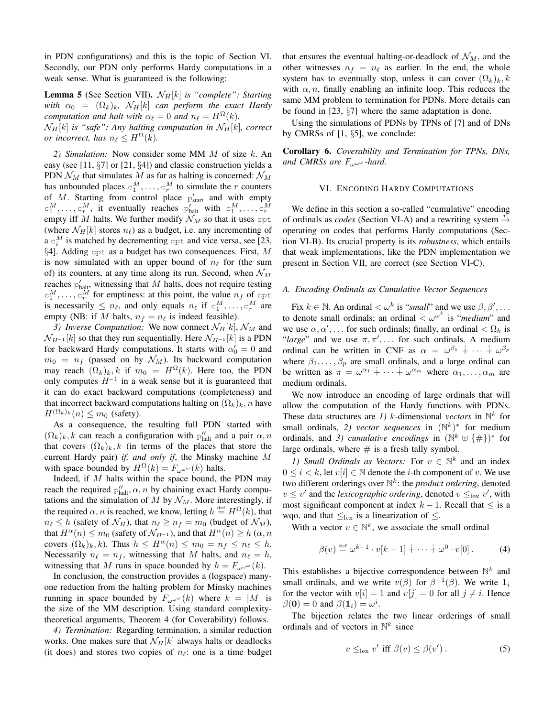in PDN configurations) and this is the topic of Section VI. Secondly, our PDN only performs Hardy computations in a weak sense. What is guaranteed is the following:

**Lemma 5** (See Section VII).  $\mathcal{N}_H[k]$  *is "complete": Starting with*  $\alpha_0 = (\Omega_k)_k$ ,  $\mathcal{N}_H[k]$  *can perform the exact Hardy computation and halt with*  $\alpha_{\ell} = 0$  *and*  $n_{\ell} = H^{\Omega}(k)$ *.*  $\mathcal{N}_H[k]$  *is "safe": Any halting computation in*  $\mathcal{N}_H[k]$ *, correct or incorrect, has*  $n_\ell \leq H^{\Omega}(k)$ .

*2) Simulation:* Now consider some MM M of size k. An easy (see [11, §7] or [21, §4]) and classic construction yields a PDN  $\mathcal{N}_M$  that simulates M as far as halting is concerned:  $\mathcal{N}_M$ has unbounded places  $c_1^M, \ldots, c_r^M$  to simulate the r counters of M. Starting from control place  $p'_{start}$  and with empty  $c_1^M, \ldots, c_r^M$ , it eventually reaches  $p'_{\text{halt}}$  with  $c_1^M, \ldots, c_r^M$ <br>empty iff M halts. We further modify  $\mathcal{N}_M$  so that it uses  $\text{cpt}$ (where  $\mathcal{N}_H[k]$  stores  $n_\ell$ ) as a budget, i.e. any incrementing of a  $c_i^M$  is matched by decrementing  $\text{cpt}$  and vice versa, see [23, §4]. Adding cpt as a budget has two consequences. First, M is now simulated with an upper bound of  $n_\ell$  for (the sum of) its counters, at any time along its run. Second, when  $\mathcal{N}_M$ reaches  $p'_{\text{halt}}$ , witnessing that M halts, does not require testing  $c_1^M, \ldots, c_r^M$  for emptiness: at this point, the value  $n_f$  of  $\text{cpt}$ is necessarily  $\leq n_\ell$ , and only equals  $n_\ell$  if  $c_1^M, \ldots, c_r^M$  are empty (NB: if M halts,  $n_f = n_\ell$  is indeed feasible).

*3) Inverse Computation:* We now connect  $\mathcal{N}_H[k], \mathcal{N}_M$  and  $\mathcal{N}_{H^{-1}}[k]$  so that they run sequentially. Here  $\mathcal{N}_{H^{-1}}[k]$  is a PDN for backward Hardy computations. It starts with  $\alpha'_0 = 0$  and  $m_0 = n_f$  (passed on by  $\mathcal{N}_M$ ). Its backward computation may reach  $(\Omega_k)_k$ , k if  $m_0 = H^{\Omega}(k)$ . Here too, the PDN only computes  $H^{-1}$  in a weak sense but it is guaranteed that it can do exact backward computations (completeness) and that incorrect backward computations halting on  $(\Omega_k)_k$ , n have  $H^{(\Omega_k)_k}(n) \leq m_0$  (safety).

As a consequence, the resulting full PDN started with  $(\Omega_k)_k$ , k can reach a configuration with  $p''_{\text{halt}}$  and a pair  $\alpha$ , n that covers  $(\Omega_k)_k$ , k (in terms of the places that store the current Hardy pair) *if, and only if*, the Minsky machine M with space bounded by  $H^{\Omega}(k) = F_{\omega^{\omega}}(k)$  halts.

Indeed, if  $M$  halts within the space bound, the PDN may reach the required  $p''_{\text{halt}}$ ,  $\alpha$ , n by chaining exact Hardy computations and the simulation of M by  $\mathcal{N}_M$ . More interestingly, if the required  $\alpha$ , *n* is reached, we know, letting  $h \stackrel{\text{def}}{=} H^{\Omega}(k)$ , that  $n_\ell \leq h$  (safety of  $\mathcal{N}_H$ ), that  $n_\ell \geq n_f = m_0$  (budget of  $\mathcal{N}_M$ ), that  $H^{\alpha}(n) \leq m_0$  (safety of  $\mathcal{N}_{H^{-1}}$ ), and that  $H^{\alpha}(n) \geq h(\alpha, n)$ covers  $(\Omega_k)_k, k$ ). Thus  $h \leq H^{\alpha}(n) \leq m_0 = n_f \leq n_\ell \leq h$ . Necessarily  $n_\ell = n_f$ , witnessing that M halts, and  $n_\ell = h$ , witnessing that M runs in space bounded by  $h = F_{\omega}(\omega)$ .

In conclusion, the construction provides a (logspace) manyone reduction from the halting problem for Minsky machines running in space bounded by  $F_{\mu\nu}(\kappa)$  where  $k = |M|$  is the size of the MM description. Using standard complexitytheoretical arguments, Theorem 4 (for Coverability) follows.

*4) Termination:* Regarding termination, a similar reduction works. One makes sure that  $\mathcal{N}_H[k]$  always halts or deadlocks (it does) and stores two copies of  $n_\ell$ : one is a time budget that ensures the eventual halting-or-deadlock of  $\mathcal{N}_M$ , and the other witnesses  $n_f = n_\ell$  as earlier. In the end, the whole system has to eventually stop, unless it can cover  $(\Omega_k)_k, k$ with  $\alpha$ , *n*, finally enabling an infinite loop. This reduces the same MM problem to termination for PDNs. More details can be found in [23, §7] where the same adaptation is done.

Using the simulations of PDNs by TPNs of [7] and of DNs by CMRSs of [1, §5], we conclude:

Corollary 6. *Coverability and Termination for TPNs, DNs, and CMRSs are* Fωωω *-hard.*

# VI. ENCODING HARDY COMPUTATIONS

We define in this section a so-called "cumulative" encoding of ordinals as *codes* (Section VI-A) and a rewriting system  $\rightarrow$ operating on codes that performs Hardy computations (Section VI-B). Its crucial property is its *robustness*, which entails that weak implementations, like the PDN implementation we present in Section VII, are correct (see Section VI-C).

# *A. Encoding Ordinals as Cumulative Vector Sequences*

Fix  $k \in \mathbb{N}$ . An ordinal  $\langle \omega^k \text{ is "small" and we use } \beta, \beta', \dots$ to denote small ordinals; an ordinal  $\langle \omega^{\omega^k} \rangle$  is "*medium*" and we use  $\alpha, \alpha', \dots$  for such ordinals; finally, an ordinal  $\langle \Omega_k \rangle$  is "*large*" and we use  $\pi, \pi', \ldots$  for such ordinals. A medium ordinal can be written in CNF as  $\alpha = \omega^{\beta_1} + \cdots + \omega^{\beta_p}$ where  $\beta_1, \ldots, \beta_p$  are small ordinals, and a large ordinal can be written as  $\pi = \omega^{\alpha_1} + \cdots + \omega^{\alpha_m}$  where  $\alpha_1, \ldots, \alpha_m$  are medium ordinals.

We now introduce an encoding of large ordinals that will allow the computation of the Hardy functions with PDNs. These data structures are *1*) *k*-dimensional *vectors* in  $\mathbb{N}^k$  for small ordinals, 2) vector sequences in  $(N^k)^*$  for medium ordinals, and *3*) *cumulative encodings* in  $(N^k \oplus \{\#\})^*$  for large ordinals, where  $\#$  is a fresh tally symbol.

*1)* Small Ordinals as Vectors: For  $v \in \mathbb{N}^k$  and an index  $0 \leq i < k$ , let  $v[i] \in \mathbb{N}$  denote the *i*-th component of *v*. We use two different orderings over N k : the *product ordering*, denoted  $v \le v'$  and the *lexicographic ordering*, denoted  $v \le v'$ , with most significant component at index  $k - 1$ . Recall that  $\leq$  is a wqo, and that  $\leq_{\text{lex}}$  is a linearization of  $\leq$ .

With a vector  $v \in \mathbb{N}^k$ , we associate the small ordinal

$$
\beta(v) \stackrel{\text{def}}{=} \omega^{k-1} \cdot v[k-1] + \cdots + \omega^0 \cdot v[0]. \tag{4}
$$

This establishes a bijective correspondence between  $\mathbb{N}^k$  and small ordinals, and we write  $v(\beta)$  for  $\beta^{-1}(\beta)$ . We write  $\mathbf{1}_i$ for the vector with  $v[i] = 1$  and  $v[j] = 0$  for all  $j \neq i$ . Hence  $\beta(\mathbf{0}) = 0$  and  $\beta(\mathbf{1}_i) = \omega^i$ .

The bijection relates the two linear orderings of small ordinals and of vectors in  $\mathbb{N}^k$  since

$$
v \leq_{\text{lex}} v' \text{ iff } \beta(v) \leq \beta(v') . \tag{5}
$$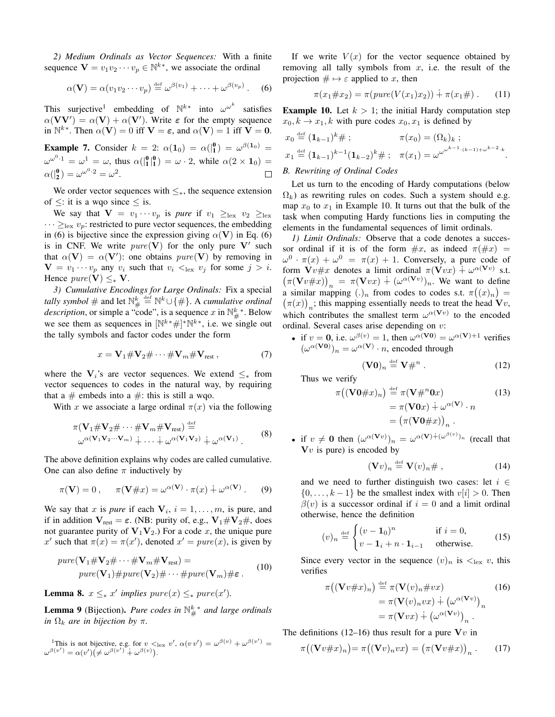*2) Medium Ordinals as Vector Sequences:* With a finite sequence  $\mathbf{V} = v_1 v_2 \cdots v_p \in \mathbb{N}^{k*}$ , we associate the ordinal

$$
\alpha(\mathbf{V}) = \alpha(v_1v_2\cdots v_p) \stackrel{\text{def}}{=} \omega^{\beta(v_1)} + \cdots + \omega^{\beta(v_p)}.
$$
 (6)

This surjective<sup>1</sup> embedding of  $\mathbb{N}^{k*}$  into  $\omega^{\omega^k}$  satisfies  $\alpha(VV') = \alpha(V) + \alpha(V')$ . Write  $\varepsilon$  for the empty sequence in  $\mathbb{N}^{k*}$ . Then  $\alpha(\mathbf{V}) = 0$  iff  $\mathbf{V} = \boldsymbol{\varepsilon}$ , and  $\alpha(\mathbf{V}) = 1$  iff  $\mathbf{V} = \mathbf{0}$ .

**Example 7.** Consider  $k = 2$ :  $\alpha(1_0) = \alpha(\begin{bmatrix} 0 \\ 1 \end{bmatrix}) = \omega^{\beta(1_0)} =$  $\omega^{\omega^0}$ <sup>1</sup> =  $\omega^1 = \omega$ , thus  $\alpha(\begin{bmatrix} 0 & 0 \\ 1 & 1 \end{bmatrix}^2) = \omega \cdot 2$ , while  $\alpha(2 \times 1_0) =$  $\alpha(\begin{bmatrix}0\\2\end{bmatrix}) = \omega^{\omega^0 \cdot 2} = \omega^2.$  $\Box$ 

We order vector sequences with  $\leq_*,$  the sequence extension of  $\leq$ : it is a wqo since  $\leq$  is.

We say that  $\mathbf{V} = v_1 \cdots v_p$  is *pure* if  $v_1 \geq_{\text{lex}} v_2 \geq_{\text{lex}} v_1$  $\cdots \geq_{\text{lex}} v_p$ : restricted to pure vector sequences, the embedding in (6) is bijective since the expression giving  $\alpha$ (V) in Eq. (6) is in CNF. We write  $pure(V)$  for the only pure V' such that  $\alpha(\mathbf{V}) = \alpha(\mathbf{V}')$ : one obtains  $pure(\mathbf{V})$  by removing in  $\mathbf{V} = v_1 \cdots v_p$  any  $v_i$  such that  $v_i \leq_{\text{lex}} v_j$  for some  $j > i$ . Hence  $pure(V) \leq_* V$ .

*3) Cumulative Encodings for Large Ordinals:* Fix a special *tally symbol*  $\#$  and let  $\mathbb{N}_{\#}^{k} \stackrel{\text{def}}{=} \mathbb{N}^{k} \cup \{\# \}$ . A *cumulative ordinal description*, or simple a "code", is a sequence x in  $\mathbb{N}_{\#}^{k}$ . Below we see them as sequences in  $[\mathbb{N}^{k*} \#]^* \mathbb{N}^{k*}$ , i.e. we single out the tally symbols and factor codes under the form

$$
x = \mathbf{V}_1 \# \mathbf{V}_2 \# \cdots \# \mathbf{V}_m \# \mathbf{V}_{\text{rest}} \,, \tag{7}
$$

where the  $V_i$ 's are vector sequences. We extend  $\leq_*$  from vector sequences to codes in the natural way, by requiring that a  $\#$  embeds into a  $\#$ : this is still a wqo.

With x we associate a large ordinal  $\pi(x)$  via the following

$$
\pi(\mathbf{V}_1 \# \mathbf{V}_2 \# \cdots \# \mathbf{V}_m \# \mathbf{V}_{rest}) \stackrel{\text{def}}{=} \omega^{\alpha(\mathbf{V}_1 \mathbf{V}_2 \cdots \mathbf{V}_m)} + \cdots + \omega^{\alpha(\mathbf{V}_1 \mathbf{V}_2)} + \omega^{\alpha(\mathbf{V}_1)}.
$$
\n(8)

The above definition explains why codes are called cumulative. One can also define  $\pi$  inductively by

$$
\pi(\mathbf{V}) = 0, \quad \pi(\mathbf{V} \# x) = \omega^{\alpha(\mathbf{V})} \cdot \pi(x) \dotplus \omega^{\alpha(\mathbf{V})}. \tag{9}
$$

We say that x is *pure* if each  $V_i$ ,  $i = 1, \ldots, m$ , is pure, and if in addition  $V_{rest} = \varepsilon$ . (NB: purity of, e.g.,  $V_1 \# V_2 \#$ , does not guarantee purity of  $V_1V_2$ .) For a code x, the unique pure x' such that  $\pi(x) = \pi(x')$ , denoted  $x' = pure(x)$ , is given by

$$
pure(\mathbf{V}_1 \# \mathbf{V}_2 \# \cdots \# \mathbf{V}_m \# \mathbf{V}_{rest}) =
$$
  
\n
$$
pure(\mathbf{V}_1) \# pure(\mathbf{V}_2) \# \cdots \# pure(\mathbf{V}_m) \# \varepsilon.
$$
 (10)

**Lemma 8.**  $x \leq_* x'$  implies  $pure(x) \leq_* pure(x').$ 

**Lemma 9** (Bijection). Pure codes in  $\mathbb{N}_{#}^{k}$  and large ordinals *in*  $\Omega_k$  *are in bijection by*  $\pi$ *.* 

<sup>1</sup>This is not bijective, e.g. for  $v <_{\text{lex}} v'$ ,  $\alpha(vv') = \omega^{\beta(v)} + \omega^{\beta(v')} =$  $\omega^{\beta(v')} = \alpha(v') (\neq \omega^{\beta(v')} + \omega^{\beta(v)})$ .

If we write  $V(x)$  for the vector sequence obtained by removing all tally symbols from  $x$ , i.e. the result of the projection  $\# \mapsto \varepsilon$  applied to x, then

$$
\pi(x_1 \# x_2) = \pi(pure(V(x_1)x_2)) + \pi(x_1 \#) \tag{11}
$$

**Example 10.** Let  $k > 1$ ; the initial Hardy computation step  $x_0, k \rightarrow x_1, k$  with pure codes  $x_0, x_1$  is defined by

$$
x_0 \stackrel{\text{def}}{=} (\mathbf{1}_{k-1})^k \# ; \qquad \pi(x_0) = (\Omega_k)_k ;
$$
  

$$
x_1 \stackrel{\text{def}}{=} (\mathbf{1}_{k-1})^{k-1} (\mathbf{1}_{k-2})^k \# ; \quad \pi(x_1) = \omega^{\omega^{\omega^{k-1} \cdot (k-1) + \omega^{k-2} \cdot k}}.
$$

# *B. Rewriting of Ordinal Codes*

Let us turn to the encoding of Hardy computations (below  $\Omega_k$ ) as rewriting rules on codes. Such a system should e.g. map  $x_0$  to  $x_1$  in Example 10. It turns out that the bulk of the task when computing Hardy functions lies in computing the elements in the fundamental sequences of limit ordinals.

*1) Limit Ordinals:* Observe that a code denotes a successor ordinal if it is of the form  $\#x$ , as indeed  $\pi(\#x)$  =  $\omega^0 \cdot \pi(x) + \omega^0 = \pi(x) + 1$ . Conversely, a pure code of form  $\mathbf{V}v\# x$  denotes a limit ordinal  $\pi(\mathbf{V}vx) \doteq \omega^{\alpha(\mathbf{V}v)}$  s.t.  $(\pi(\mathbf{V}v\#x))_n = \pi(\mathbf{V}vx) + (\omega^{\alpha(\mathbf{V}v)})_n$ . We want to define a similar mapping  $(.)_n$  from codes to codes s.t.  $\pi((x)_n) = (\pi(x))$ : this mapping essentially needs to treat the head  $\mathbf{V}_n$ .  $\pi(x)$ <sub>n</sub>; this mapping essentially needs to treat the head  $\mathbf{\hat{V}}v$ , which contributes the smallest term  $\omega^{\alpha(Vv)}$  to the encoded ordinal. Several cases arise depending on v:

• if  $v = 0$ , i.e.  $\omega^{\beta(v)} = 1$ , then  $\omega^{\alpha(\mathbf{V0})} = \omega^{\alpha(\mathbf{V})+1}$  verifies  $(\omega^{\alpha(\mathbf{V0})})_n = \omega^{\alpha(\mathbf{V})} \cdot n$ , encoded through

$$
(\mathbf{V0})_n \stackrel{\text{def}}{=} \mathbf{V} \#^n . \tag{12}
$$

Thus we verify

$$
\pi((\mathbf{V0} \# x)_n) \stackrel{\text{def}}{=} \pi(\mathbf{V} \#^n \mathbf{0} x)
$$

$$
= \pi(\mathbf{V0} x) + \omega^{\alpha(\mathbf{V})} \cdot n
$$

$$
= (\pi(\mathbf{V0} \# x))_n.
$$
 (13)

• if  $v \neq 0$  then  $(\omega^{\alpha(\mathbf{V}v)})_n = \omega^{\alpha(\mathbf{V}) + (\omega^{\beta(v)})_n}$  (recall that  $\mathbf{V}v$  is pure) is encoded by

$$
(\mathbf{V}v)_n \stackrel{\text{def}}{=} \mathbf{V}(v)_n \# , \tag{14}
$$

and we need to further distinguish two cases: let  $i \in$  $\{0, \ldots, k-1\}$  be the smallest index with  $v[i] > 0$ . Then  $\beta(v)$  is a successor ordinal if  $i = 0$  and a limit ordinal otherwise, hence the definition

$$
(v)_n \stackrel{\text{def}}{=} \begin{cases} (v - \mathbf{1}_0)^n & \text{if } i = 0, \\ v - \mathbf{1}_i + n \cdot \mathbf{1}_{i-1} & \text{otherwise.} \end{cases}
$$
 (15)

Since every vector in the sequence  $(v)_n$  is  $\lt_{\text{lex}} v$ , this verifies

$$
\pi((\mathbf{V}v \# x)_n) \stackrel{\text{def}}{=} \pi(\mathbf{V}(v)_n \# vx)
$$
\n
$$
= \pi(\mathbf{V}(v)_n vx) \dotplus (\omega^{\alpha(\mathbf{V}v)})_n
$$
\n
$$
= \pi(\mathbf{V}vx) \dotplus (\omega^{\alpha(\mathbf{V}v)})_n.
$$
\n(16)

The definitions (12–16) thus result for a pure  $Vv$  in

$$
\pi((\mathbf{V}v\#x)_n) = \pi((\mathbf{V}v)_nvx) = (\pi(\mathbf{V}v\#x))_n.
$$
 (17)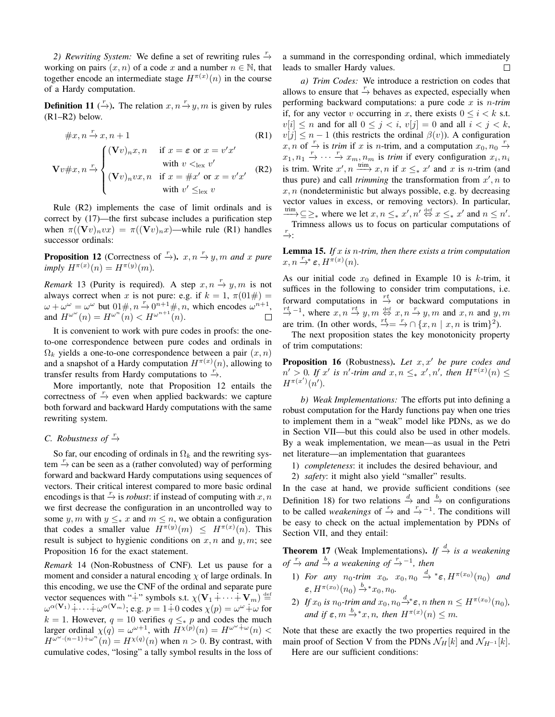2) Rewriting System: We define a set of rewriting rules  $\frac{r}{\rightarrow}$ working on pairs  $(x, n)$  of a code x and a number  $n \in \mathbb{N}$ , that together encode an intermediate stage  $H^{\pi(x)}(n)$  in the course of a Hardy computation.

**Definition 11** ( $\rightarrow$ ). The relation  $x, n \rightarrow y, m$  is given by rules (R1–R2) below.

$$
\#x, n \stackrel{r}{\rightarrow} x, n+1
$$
\n(R1)  
\n
$$
\mathbf{V}v \#x, n \stackrel{r}{\rightarrow} \begin{cases}\n(\mathbf{V}v)_n x, n & \text{if } x = \varepsilon \text{ or } x = v'x' \\
\text{with } v <_{\text{lex}} v' \\
(\mathbf{V}v)_n vx, n & \text{if } x = \#x' \text{ or } x = v'x' \\
\text{with } v' \leq_{\text{lex}} v\n\end{cases}
$$
\n(R2)

Rule (R2) implements the case of limit ordinals and is correct by (17)—the first subcase includes a purification step when  $\pi((\mathbf{V}v)_nvx) = \pi((\mathbf{V}v)_nx)$ —while rule (R1) handles successor ordinals:

**Proposition 12** (Correctness of  $\stackrel{r}{\rightarrow}$ ).  $x, n \stackrel{r}{\rightarrow} y, m$  and  $x$  pure  $imply H^{\pi(x)}(n) = H^{\pi(y)}(m)$ .

*Remark* 13 (Purity is required). A step  $x, n \stackrel{r}{\rightarrow} y, m$  is not always correct when x is not pure: e.g. if  $k = 1$ ,  $\pi(01 \#) =$  $\omega + \omega^{\omega} = \omega^{\omega}$  but  $0 \neq n$ ,  $n \to 0$ ,  $n+1$ ,  $n$ , which encodes  $\omega^{n+1}$ , and  $H^{\omega^{\omega}}(n) = H^{\omega^n}(n) < H^{\omega^{n+1}}(n)$ .  $\Box$ 

It is convenient to work with pure codes in proofs: the oneto-one correspondence between pure codes and ordinals in  $\Omega_k$  yields a one-to-one correspondence between a pair  $(x, n)$ and a snapshot of a Hardy computation  $H^{\pi(x)}(n)$ , allowing to transfer results from Hardy computations to  $\stackrel{r}{\rightarrow}$ .

More importantly, note that Proposition 12 entails the correctness of  $\stackrel{r}{\rightarrow}$  even when applied backwards: we capture both forward and backward Hardy computations with the same rewriting system.

# *C. Robustness of*  $\stackrel{r}{\rightarrow}$

So far, our encoding of ordinals in  $\Omega_k$  and the rewriting system  $\stackrel{r}{\rightarrow}$  can be seen as a (rather convoluted) way of performing forward and backward Hardy computations using sequences of vectors. Their critical interest compared to more basic ordinal encodings is that  $\frac{r}{\rightarrow}$  is *robust*: if instead of computing with x, n we first decrease the configuration in an uncontrolled way to some y, m with  $y \leq_{\ast} x$  and  $m \leq n$ , we obtain a configuration that codes a smaller value  $H^{\pi(y)}(m) \leq H^{\pi(x)}(n)$ . This result is subject to hygienic conditions on  $x, n$  and  $y, m$ ; see Proposition 16 for the exact statement.

*Remark* 14 (Non-Robustness of CNF)*.* Let us pause for a moment and consider a natural encoding  $\chi$  of large ordinals. In this encoding, we use the CNF of the ordinal and separate pure vector sequences with "+" symbols s.t.  $\chi(\mathbf{V}_1 + \cdots + \mathbf{V}_m) \stackrel{\text{def}}{=}$  $\omega^{\alpha(\mathbf{V}_1)} + \cdots + \omega^{\alpha(\mathbf{V}_m)}$ ; e.g.  $p = 1 + 0$  codes  $\chi(p) = \omega^{\omega} + \omega$  for k = 1. However,  $q = 10$  verifies  $q \leq_{\ast} p$  and codes the much larger ordinal  $\chi(q) = \omega^{\omega+1}$ , with  $H^{\chi(p)}(n) = H^{\omega^{\omega} + \omega}(n)$  <  $H^{\omega^{\omega} \cdot (n-1) + \omega^n}(n) = H^{\chi(q)}(n)$  when  $n > 0$ . By contrast, with cumulative codes, "losing" a tally symbol results in the loss of

a summand in the corresponding ordinal, which immediately leads to smaller Hardy values.  $\Box$ 

*a) Trim Codes:* We introduce a restriction on codes that allows to ensure that  $\frac{r}{r}$  behaves as expected, especially when performing backward computations: a pure code x is n*-trim* if, for any vector v occurring in x, there exists  $0 \le i \le k$  s.t.  $v[i] \leq n$  and for all  $0 \leq j < i$ ,  $v[j] = 0$  and all  $i < j < k$ ,  $v[j] \leq n-1$  (this restricts the ordinal  $\beta(v)$ ). A configuration  $x, n$  of  $\frac{r}{r}$  is *trim* if x is n-trim, and a computation  $x_0, n_0 \rightarrow$  $x_1, n_1 \stackrel{r}{\rightarrow} \cdots \stackrel{r}{\rightarrow} x_m, n_m$  is *trim* if every configuration  $x_i, n_i$ is trim. Write  $x', n \stackrel{\text{trim}}{\longrightarrow} x, n$  if  $x \leq_* x'$  and x is n-trim (and thus pure) and call *trimming* the transformation from  $x'$ , n to  $x, n$  (nondeterministic but always possible, e.g. by decreasing vector values in excess, or removing vectors). In particular, trim ⊆≥∗ where we let  $x, n \leq_* x', n' \stackrel{\text{def}}{\Leftrightarrow} x \leq_* x'$  and  $n \leq n'$ . Trimness allows us to focus on particular computations of  $\stackrel{r}{\rightarrow}$ :

Lemma 15. *If* x *is* n*-trim, then there exists a trim computation*  $x, n \stackrel{r}{\rightarrow}^* \varepsilon, H^{\pi(x)}(n)$ .

As our initial code  $x_0$  defined in Example 10 is k-trim, it suffices in the following to consider trim computations, i.e. forward computations in  $\stackrel{rt}{\rightarrow}$  or backward computations in  $\stackrel{rt}{\rightarrow}$  -1, where  $x, n \stackrel{rt}{\rightarrow} y, m \stackrel{\text{def}}{\rightarrow} x, n \stackrel{r}{\rightarrow} y, m$  and  $x, n$  and  $y, m$ are trim. (In other words,  $\stackrel{rt}{\rightarrow} = \stackrel{r}{\rightarrow} \cap \{x, n \mid x, n \text{ is trim}\}^2$ ).

The next proposition states the key monotonicity property of trim computations:

**Proposition 16** (Robustness). Let x, x' be pure codes and  $n' > 0$ *. If x'* is n'-trim and  $x, n ≤_* x', n'$ , then  $H^{\pi(x)}(n) ≤$  $H^{\pi(x')}(n').$ 

*b) Weak Implementations:* The efforts put into defining a robust computation for the Hardy functions pay when one tries to implement them in a "weak" model like PDNs, as we do in Section VII—but this could also be used in other models. By a weak implementation, we mean—as usual in the Petri net literature—an implementation that guarantees

1) *completeness*: it includes the desired behaviour, and

2) *safety*: it might also yield "smaller" results.

In the case at hand, we provide sufficient conditions (see Definition 18) for two relations  $\stackrel{d}{\to}$  and  $\stackrel{b}{\to}$  on configurations to be called *weakenings* of  $\stackrel{r}{\rightarrow}$  and  $\stackrel{r}{\rightarrow}$ <sup>-1</sup>. The conditions will be easy to check on the actual implementation by PDNs of Section VII, and they entail:

**Theorem 17** (Weak Implementations). *If*  $\stackrel{d}{\rightarrow}$  *is a weakening*  $of \overset{r}{\rightarrow}$  *and*  $\overset{b}{\rightarrow}$  *a* weakening of  $\overset{r}{\rightarrow}$ <sup>-1</sup>, then

- 1) *For any*  $n_0$ -trim  $x_0$ ,  $x_0$ ,  $n_0 \stackrel{d}{\rightarrow} * \varepsilon$ ,  $H^{\pi(x_0)}(n_0)$  *and*  $\varepsilon, H^{\pi(x_0)}(n_0) \stackrel{b}{\rightarrow}^* x_0, n_0.$
- 2) If  $x_0$  is  $n_0$ -trim and  $x_0$ ,  $n_0 \stackrel{d}{\rightarrow} \varepsilon$ , n then  $n \leq H^{\pi(x_0)}(n_0)$ , and if  $\varepsilon$ ,  $m \xrightarrow{b}^* x$ ,  $n$ , then  $H^{\pi(x)}(n) \leq m$ .

Note that these are exactly the two properties required in the main proof of Section V from the PDNs  $\mathcal{N}_H[k]$  and  $\mathcal{N}_{H^{-1}}[k]$ . Here are our sufficient conditions: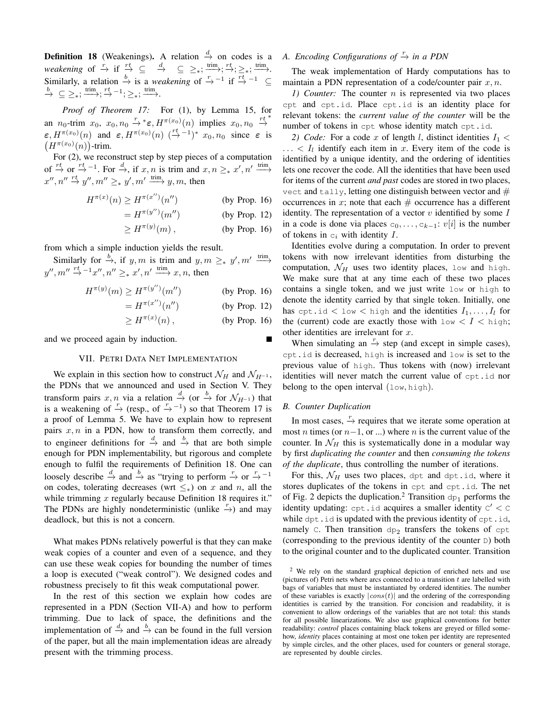**Definition 18** (Weakenings). A relation  $\frac{d}{dx}$  on codes is a *weakening* of  $\frac{r}{r}$  if  $\frac{rt}{r}$   $\subseteq$   $\frac{d}{r}$   $\subseteq$   $\geq$   $\frac{r}{r}$ ;  $\frac{r}{r}$ ;  $\frac{rt}{r}$ ;  $\frac{r}{r}$ ;  $\frac{r}{r}$ . Similarly, a relation  $\stackrel{b}{\rightarrow}$  is a *weakening* of  $\stackrel{r}{\rightarrow}$ <sup>-1</sup> if  $\stackrel{rt}{\rightarrow}$ <sup>-1</sup> ⊆  $\stackrel{b}{\rightarrow} \subseteq \geq_*, \stackrel{\text{trim}}{\longrightarrow}; \stackrel{rt}{\rightarrow}^{-1}; \geq_*, \stackrel{\text{trim}}{\longrightarrow}.$ 

*Proof of Theorem 17:* For (1), by Lemma 15, for an  $n_0$ -trim  $x_0, x_0, n_0 \stackrel{r}{\rightarrow}{}^* \varepsilon, H^{\pi(x_0)}(n)$  implies  $x_0, n_0 \stackrel{rt}{\rightarrow}{}^*$  $\epsilon, H^{\pi(x_0)}(n)$  and  $\epsilon, H^{\pi(x_0)}(n)$   $\left(\stackrel{rt}{\to} -1\right)^* x_0, n_0$  since  $\epsilon$  is  $(H^{\pi(x_0)}(n))$ -trim.

For (2), we reconstruct step by step pieces of a computation of  $\stackrel{rt}{\to}$  or  $\stackrel{rt}{\to}$ -1. For  $\stackrel{d}{\to}$ , if  $x, n$  is trim and  $x, n \geq_{*} x', n' \xrightarrow{\text{trim}}$  $x'', n'' \stackrel{rt}{\rightarrow} y'', m'' \geq_* y', m' \stackrel{\text{trim}}{\longrightarrow} y, m$ , then

$$
H^{\pi(x)}(n) \ge H^{\pi(x'')}(n'')
$$
 (by Prop. 16)

 $= H^{\pi(y'')}$ (by Prop.  $12$ )

$$
\geq H^{\pi(y)}(m)\,,\qquad\qquad\text{(by Prop. 16)}
$$

from which a simple induction yields the result.

Similarly for  $\stackrel{b}{\rightarrow}$ , if y, m is trim and y,  $m \geq_{*} y'$ ,  $m' \stackrel{\text{trim}}{\longrightarrow}$  $y'', m'' \stackrel{rt}{\rightarrow} ^{-1}x'', n'' \geq_* x', n' \xrightarrow{\text{trim}} x, n$ , then

$$
H^{\pi(y)}(m) \ge H^{\pi(y'')}(m'')
$$
 (by Prop. 16)

$$
=H^{\pi(x'')}(n'')
$$
 (by Prop. 12)

$$
\geq H^{\pi(x)}(n)\,,\qquad\qquad\text{(by Prop. 16)}
$$

and we proceed again by induction.

# VII. PETRI DATA NET IMPLEMENTATION

We explain in this section how to construct  $\mathcal{N}_H$  and  $\mathcal{N}_{H^{-1}}$ , the PDNs that we announced and used in Section V. They transform pairs x, n via a relation  $\stackrel{d}{\to}$  (or  $\stackrel{b}{\to}$  for  $\mathcal{N}_{H^{-1}}$ ) that is a weakening of  $\stackrel{r}{\rightarrow}$  (resp., of  $\stackrel{r}{\rightarrow}$  -<sup>1</sup>) so that Theorem 17 is a proof of Lemma 5. We have to explain how to represent pairs  $x, n$  in a PDN, how to transform them correctly, and to engineer definitions for  $\stackrel{d}{\rightarrow}$  and  $\stackrel{b}{\rightarrow}$  that are both simple enough for PDN implementability, but rigorous and complete enough to fulfil the requirements of Definition 18. One can loosely describe  $\stackrel{d}{\rightarrow}$  and  $\stackrel{b}{\rightarrow}$  as "trying to perform  $\stackrel{r}{\rightarrow}$  or  $\stackrel{r}{\rightarrow}$  -1 on codes, tolerating decreases (wrt  $\leq_{\ast}$ ) on x and n, all the while trimming  $x$  regularly because Definition 18 requires it." The PDNs are highly nondeterministic (unlike  $\rightarrow$ ) and may deadlock, but this is not a concern.

What makes PDNs relatively powerful is that they can make weak copies of a counter and even of a sequence, and they can use these weak copies for bounding the number of times a loop is executed ("weak control"). We designed codes and robustness precisely to fit this weak computational power.

In the rest of this section we explain how codes are represented in a PDN (Section VII-A) and how to perform trimming. Due to lack of space, the definitions and the implementation of  $\stackrel{d}{\rightarrow}$  and  $\stackrel{b}{\rightarrow}$  can be found in the full version of the paper, but all the main implementation ideas are already present with the trimming process.

# *A. Encoding Configurations of*  $\frac{r}{\rightarrow}$  *in a PDN*

The weak implementation of Hardy computations has to maintain a PDN representation of a code/counter pair  $x, n$ .

*1) Counter:* The counter n is represented via two places cpt and cpt.id. Place cpt.id is an identity place for relevant tokens: the *current value of the counter* will be the number of tokens in cpt whose identity match cpt.id.

2) *Code:* For a code x of length l, distinct identities  $I_1$  <  $\ldots$  <  $I_l$  identify each item in x. Every item of the code is identified by a unique identity, and the ordering of identities lets one recover the code. All the identities that have been used for items of the current *and past* codes are stored in two places, vect and tally, letting one distinguish between vector and  $#$ occurrences in x; note that each  $#$  occurrence has a different identity. The representation of a vector  $v$  identified by some  $I$ in a code is done via places  $c_0, \ldots, c_{k-1}: v[i]$  is the number of tokens in  $c_i$  with identity  $I$ .

Identities evolve during a computation. In order to prevent tokens with now irrelevant identities from disturbing the computation,  $\mathcal{N}_H$  uses two identity places, low and high. We make sure that at any time each of these two places contains a single token, and we just write low or high to denote the identity carried by that single token. Initially, one has cpt.id  $\langle$  low  $\langle$  high and the identities  $I_1, \ldots, I_l$  for the (current) code are exactly those with  $l \circ w < I < h$ igh; other identities are irrelevant for  $x$ .

When simulating an  $\stackrel{r}{\rightarrow}$  step (and except in simple cases), cpt.id is decreased, high is increased and low is set to the previous value of high. Thus tokens with (now) irrelevant identities will never match the current value of cpt.id nor belong to the open interval  $(\text{low, high})$ .

## *B. Counter Duplication*

In most cases,  $\stackrel{r}{\rightarrow}$  requires that we iterate some operation at most *n* times (or  $n-1$ , or ...) where *n* is the current value of the counter. In  $\mathcal{N}_H$  this is systematically done in a modular way by first *duplicating the counter* and then *consuming the tokens of the duplicate*, thus controlling the number of iterations.

For this,  $\mathcal{N}_H$  uses two places, dpt and dpt.id, where it stores duplicates of the tokens in cpt and cpt.id. The net of Fig. 2 depicts the duplication.<sup>2</sup> Transition  $dp_1$  performs the identity updating:  $\text{cpt}$  . id acquires a smaller identity  $\text{c}' < \text{c}$ while dpt.id is updated with the previous identity of cpt.id, namely C. Then transition  $dp_2$  transfers the tokens of cpt (corresponding to the previous identity of the counter D) both to the original counter and to the duplicated counter. Transition

<sup>&</sup>lt;sup>2</sup> We rely on the standard graphical depiction of enriched nets and use (pictures of) Petri nets where arcs connected to a transition  $t$  are labelled with bags of variables that must be instantiated by ordered identities. The number of these variables is exactly  $|cons(t)|$  and the ordering of the corresponding identities is carried by the transition. For concision and readability, it is convenient to allow orderings of the variables that are not total: this stands for all possible linearizations. We also use graphical conventions for better readability: *control* places containing black tokens are greyed or filled somehow, *identity* places containing at most one token per identity are represented by simple circles, and the other places, used for counters or general storage, are represented by double circles.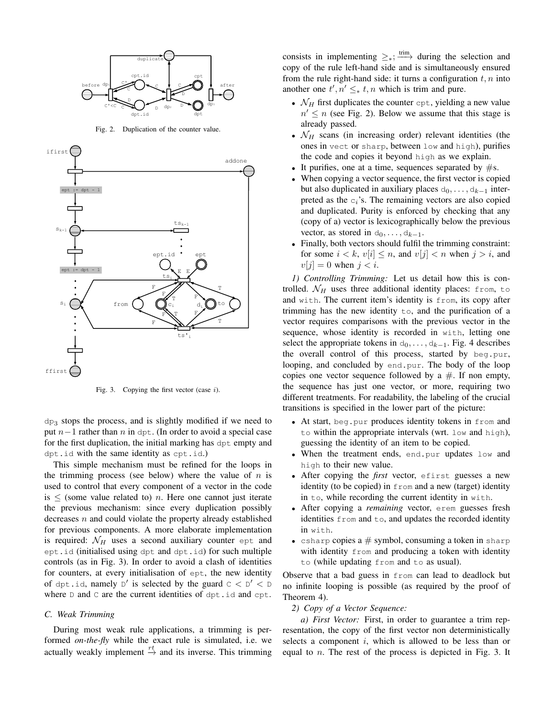

Fig. 2. Duplication of the counter value.



Fig. 3. Copying the first vector (case  $i$ ).

 $dp_3$  stops the process, and is slightly modified if we need to put  $n-1$  rather than n in dpt. (In order to avoid a special case for the first duplication, the initial marking has dpt empty and dpt.id with the same identity as cpt.id.)

This simple mechanism must be refined for the loops in the trimming process (see below) where the value of  $n$  is used to control that every component of a vector in the code is  $\le$  (some value related to) *n*. Here one cannot just iterate the previous mechanism: since every duplication possibly decreases  $n$  and could violate the property already established for previous components. A more elaborate implementation is required:  $\mathcal{N}_H$  uses a second auxiliary counter ept and ept.id (initialised using dpt and dpt.id) for such multiple controls (as in Fig. 3). In order to avoid a clash of identities for counters, at every initialisation of ept, the new identity of dpt.id, namely  $D'$  is selected by the guard  $C < D' < D$ where  $D$  and  $C$  are the current identities of dpt.id and cpt.

## *C. Weak Trimming*

During most weak rule applications, a trimming is performed *on-the-fly* while the exact rule is simulated, i.e. we actually weakly implement  $\stackrel{rt}{\rightarrow}$  and its inverse. This trimming consists in implementing  $\geq$ <sub>\*</sub>;  $\xrightarrow{\text{trim}}$  during the selection and copy of the rule left-hand side and is simultaneously ensured from the rule right-hand side: it turns a configuration  $t, n$  into another one  $t', n' \leq_* t, n$  which is trim and pure.

- $\mathcal{N}_H$  first duplicates the counter cpt, yielding a new value  $n' \leq n$  (see Fig. 2). Below we assume that this stage is already passed.
- $\mathcal{N}_H$  scans (in increasing order) relevant identities (the ones in vect or sharp, between low and high), purifies the code and copies it beyond high as we explain.
- It purifies, one at a time, sequences separated by  $\#s$ .
- When copying a vector sequence, the first vector is copied but also duplicated in auxiliary places  $d_0, \ldots, d_{k-1}$  interpreted as the  $c_i$ 's. The remaining vectors are also copied and duplicated. Purity is enforced by checking that any (copy of a) vector is lexicographically below the previous vector, as stored in  $d_0, \ldots, d_{k-1}$ .
- Finally, both vectors should fulfil the trimming constraint: for some  $i < k$ ,  $v[i] \leq n$ , and  $v[j] < n$  when  $j > i$ , and  $v[j] = 0$  when  $j < i$ .

*1) Controlling Trimming:* Let us detail how this is controlled.  $\mathcal{N}_H$  uses three additional identity places: from, to and with. The current item's identity is from, its copy after trimming has the new identity to, and the purification of a vector requires comparisons with the previous vector in the sequence, whose identity is recorded in with, letting one select the appropriate tokens in  $d_0, \ldots, d_{k-1}$ . Fig. 4 describes the overall control of this process, started by beg.pur, looping, and concluded by end.pur. The body of the loop copies one vector sequence followed by a  $#$ . If non empty, the sequence has just one vector, or more, requiring two different treatments. For readability, the labeling of the crucial transitions is specified in the lower part of the picture:

- At start, beg.pur produces identity tokens in from and to within the appropriate intervals (wrt. low and high), guessing the identity of an item to be copied.
- When the treatment ends, end.pur updates low and high to their new value.
- After copying the *first* vector, efirst guesses a new identity (to be copied) in from and a new (target) identity in to, while recording the current identity in with.
- After copying a *remaining* vector, erem guesses fresh identities from and to, and updates the recorded identity in with.
- csharp copies  $a \#$  symbol, consuming a token in sharp with identity from and producing a token with identity to (while updating from and to as usual).

Observe that a bad guess in from can lead to deadlock but no infinite looping is possible (as required by the proof of Theorem 4).

*2) Copy of a Vector Sequence:*

*a) First Vector:* First, in order to guarantee a trim representation, the copy of the first vector non deterministically selects a component  $i$ , which is allowed to be less than or equal to n. The rest of the process is depicted in Fig. 3. It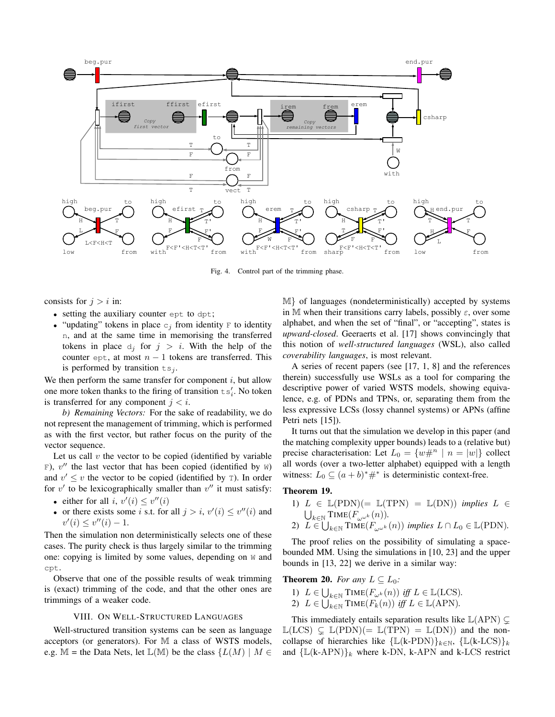

Fig. 4. Control part of the trimming phase.

consists for  $j > i$  in:

- setting the auxiliary counter ept to dpt;
- "updating" tokens in place  $c_i$  from identity F to identity n, and at the same time in memorising the transferred tokens in place  $d_i$  for  $j > i$ . With the help of the counter ept, at most  $n - 1$  tokens are transferred. This is performed by transition  $ts_i$ .

We then perform the same transfer for component  $i$ , but allow one more token thanks to the firing of transition  $\text{ts}'_i$ . No token is transferred for any component  $j < i$ .

*b) Remaining Vectors:* For the sake of readability, we do not represent the management of trimming, which is performed as with the first vector, but rather focus on the purity of the vector sequence.

Let us call  $v$  the vector to be copied (identified by variable F),  $v''$  the last vector that has been copied (identified by W) and  $v' \leq v$  the vector to be copied (identified by  $\tau$ ). In order for  $v'$  to be lexicographically smaller than  $v''$  it must satisfy:

- either for all  $i, v'(i) \leq v''(i)$
- or there exists some i s.t. for all  $j > i$ ,  $v'(i) \le v''(i)$  and  $v'(i) \leq v''(i) - 1.$

Then the simulation non deterministically selects one of these cases. The purity check is thus largely similar to the trimming one: copying is limited by some values, depending on W and cpt.

Observe that one of the possible results of weak trimming is (exact) trimming of the code, and that the other ones are trimmings of a weaker code.

### VIII. ON WELL-STRUCTURED LANGUAGES

Well-structured transition systems can be seen as language acceptors (or generators). For M a class of WSTS models, e.g. M = the Data Nets, let  $\mathbb{L}(\mathbb{M})$  be the class  $\{L(M) \mid M \in$  <sup>M</sup>} of languages (nondeterministically) accepted by systems in M when their transitions carry labels, possibly  $\varepsilon$ , over some alphabet, and when the set of "final", or "accepting", states is *upward-closed*. Geeraerts et al. [17] shows convincingly that this notion of *well-structured languages* (WSL), also called *coverability languages*, is most relevant.

A series of recent papers (see [17, 1, 8] and the references therein) successfully use WSLs as a tool for comparing the descriptive power of varied WSTS models, showing equivalence, e.g. of PDNs and TPNs, or, separating them from the less expressive LCSs (lossy channel systems) or APNs (affine Petri nets [15]).

It turns out that the simulation we develop in this paper (and the matching complexity upper bounds) leads to a (relative but) precise characterisation: Let  $L_0 = \{w \#^n | n = |w|\}$  collect all words (over a two-letter alphabet) equipped with a length witness:  $L_0 \subseteq (a+b)^* \#^*$  is deterministic context-free.

# Theorem 19.

1)  $L \in \mathbb{L}(\text{PDN}) (= \mathbb{L}(\text{TPN}) = \mathbb{L}(\text{DN})$  *implies*  $L \in$  $\bigcup_{k \in \mathbb{N}} \text{TIME}(F_{\omega^{\omega^k}}(n)).$ 2)  $\overline{L} \in \bigcup_{k \in \mathbb{N}}$   $\text{Time}(F_{\omega^{\omega^k}}(n))$  *implies*  $L \cap L_0 \in \mathbb{L}(\text{PDN})$ .

The proof relies on the possibility of simulating a spacebounded MM. Using the simulations in [10, 23] and the upper bounds in [13, 22] we derive in a similar way:

**Theorem 20.** *For any*  $L \subseteq L_0$ *:* 

1)  $L \in \bigcup_{k \in \mathbb{N}} \text{Time}(F_{\omega^k}(n))$  *iff*  $L \in \mathbb{L}(\text{LCS})$ . 2)  $L \in \bigcup_{k \in \mathbb{N}}^{\infty}$  TIME $(F_k(n))$  *iff*  $L \in \mathbb{L}(APN)$ .

This immediately entails separation results like  $\mathbb{L}(APN) \subseteq$  $\mathbb{L}(LCS) \subseteq \mathbb{L}(PDN)(=\mathbb{L}(TPN) = \mathbb{L}(DN))$  and the noncollapse of hierarchies like { $\mathbb{L}(\mathbf{k}\text{-PDN})\}_{k\in\mathbb{N}}$ , { $\mathbb{L}(\mathbf{k}\text{-LCS})\}_{k}$ and  $\{L(k-APN)\}_k$  where k-DN, k-APN and k-LCS restrict